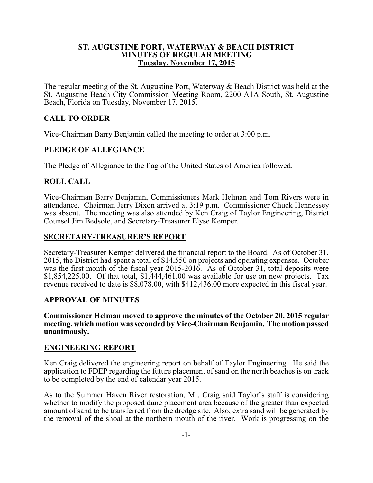#### **ST. AUGUSTINE PORT, WATERWAY & BEACH DISTRICT MINUTES OF REGULAR MEETING Tuesday, November 17, 2015**

The regular meeting of the St. Augustine Port, Waterway & Beach District was held at the St. Augustine Beach City Commission Meeting Room, 2200 A1A South, St. Augustine Beach, Florida on Tuesday, November 17, 2015.

# **CALL TO ORDER**

Vice-Chairman Barry Benjamin called the meeting to order at 3:00 p.m.

## **PLEDGE OF ALLEGIANCE**

The Pledge of Allegiance to the flag of the United States of America followed.

## **ROLL CALL**

Vice-Chairman Barry Benjamin, Commissioners Mark Helman and Tom Rivers were in attendance. Chairman Jerry Dixon arrived at 3:19 p.m. Commissioner Chuck Hennessey was absent. The meeting was also attended by Ken Craig of Taylor Engineering, District Counsel Jim Bedsole, and Secretary-Treasurer Elyse Kemper.

#### **SECRETARY-TREASURER'S REPORT**

Secretary-Treasurer Kemper delivered the financial report to the Board. As of October 31, 2015, the District had spent a total of \$14,550 on projects and operating expenses. October was the first month of the fiscal year 2015-2016. As of October 31, total deposits were \$1,854,225.00. Of that total, \$1,444,461.00 was available for use on new projects. Tax revenue received to date is \$8,078.00, with \$412,436.00 more expected in this fiscal year.

#### **APPROVAL OF MINUTES**

**Commissioner Helman moved to approve the minutes of the October 20, 2015 regular meeting, which motion was seconded by Vice-Chairman Benjamin. The motion passed unanimously.**

#### **ENGINEERING REPORT**

Ken Craig delivered the engineering report on behalf of Taylor Engineering. He said the application to FDEP regarding the future placement of sand on the north beaches is on track to be completed by the end of calendar year 2015.

As to the Summer Haven River restoration, Mr. Craig said Taylor's staff is considering whether to modify the proposed dune placement area because of the greater than expected amount of sand to be transferred from the dredge site. Also, extra sand will be generated by the removal of the shoal at the northern mouth of the river. Work is progressing on the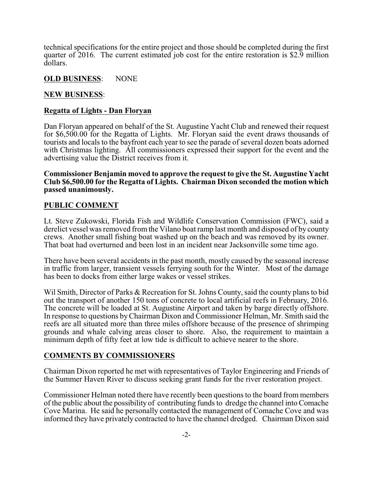technical specifications for the entire project and those should be completed during the first quarter of 2016. The current estimated job cost for the entire restoration is \$2.9 million dollars.

#### **OLD BUSINESS**: NONE

### **NEW BUSINESS**:

#### **Regatta of Lights - Dan Floryan**

Dan Floryan appeared on behalf of the St. Augustine Yacht Club and renewed their request for \$6,500.00 for the Regatta of Lights. Mr. Floryan said the event draws thousands of tourists and locals to the bayfront each year to see the parade of several dozen boats adorned with Christmas lighting. All commissioners expressed their support for the event and the advertising value the District receives from it.

**Commissioner Benjamin moved to approve the request to give the St. Augustine Yacht Club \$6,500.00 for the Regatta of Lights. Chairman Dixon seconded the motion which passed unanimously.**

## **PUBLIC COMMENT**

Lt. Steve Zukowski, Florida Fish and Wildlife Conservation Commission (FWC), said a derelict vessel was removed from the Vilano boat ramp last month and disposed of by county crews. Another small fishing boat washed up on the beach and was removed by its owner. That boat had overturned and been lost in an incident near Jacksonville some time ago.

There have been several accidents in the past month, mostly caused by the seasonal increase in traffic from larger, transient vessels ferrying south for the Winter. Most of the damage has been to docks from either large wakes or vessel strikes.

Wil Smith, Director of Parks & Recreation for St. Johns County, said the county plans to bid out the transport of another 150 tons of concrete to local artificial reefs in February, 2016. The concrete will be loaded at St. Augustine Airport and taken by barge directly offshore. In response to questions byChairman Dixon and Commissioner Helman, Mr. Smith said the reefs are all situated more than three miles offshore because of the presence of shrimping grounds and whale calving areas closer to shore. Also, the requirement to maintain a minimum depth of fifty feet at low tide is difficult to achieve nearer to the shore.

# **COMMENTS BY COMMISSIONERS**

Chairman Dixon reported he met with representatives of Taylor Engineering and Friends of the Summer Haven River to discuss seeking grant funds for the river restoration project.

Commissioner Helman noted there have recently been questions to the board from members of the public about the possibility of contributing funds to dredge the channel into Comache Cove Marina. He said he personally contacted the management of Comache Cove and was informed they have privately contracted to have the channel dredged. Chairman Dixon said